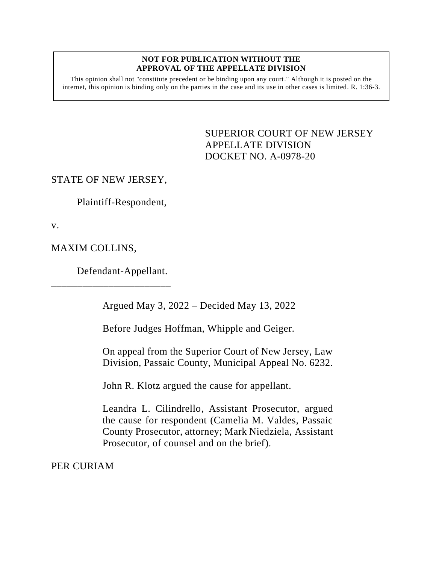## **NOT FOR PUBLICATION WITHOUT THE APPROVAL OF THE APPELLATE DIVISION**

This opinion shall not "constitute precedent or be binding upon any court." Although it is posted on the internet, this opinion is binding only on the parties in the case and its use in other cases is limited.  $R_1$  1:36-3.

> <span id="page-0-0"></span>SUPERIOR COURT OF NEW JERSEY APPELLATE DIVISION DOCKET NO. A-0978-20

## STATE OF NEW JERSEY,

Plaintiff-Respondent,

v.

MAXIM COLLINS,

Defendant-Appellant.

\_\_\_\_\_\_\_\_\_\_\_\_\_\_\_\_\_\_\_\_\_\_\_

Argued May 3, 2022 – Decided May 13, 2022

Before Judges Hoffman, Whipple and Geiger.

On appeal from the Superior Court of New Jersey, Law Division, Passaic County, Municipal Appeal No. 6232.

John R. Klotz argued the cause for appellant.

Leandra L. Cilindrello, Assistant Prosecutor, argued the cause for respondent (Camelia M. Valdes, Passaic County Prosecutor, attorney; Mark Niedziela, Assistant Prosecutor, of counsel and on the brief).

PER CURIAM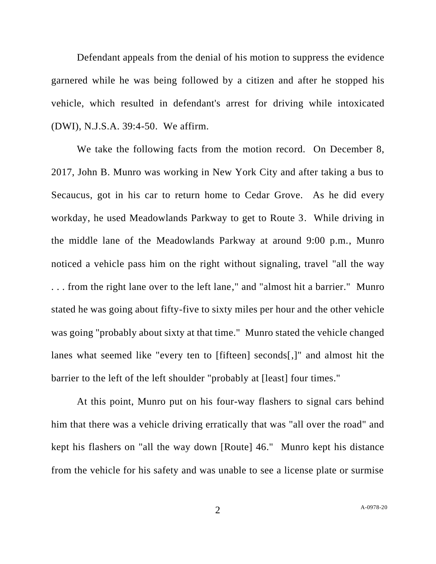Defendant appeals from the denial of his motion to suppress the evidence garnered while he was being followed by a citizen and after he stopped his vehicle, which resulted in defendant's arrest for driving while intoxicated (DWI), N.J.S.A. 39:4-50. We affirm.

We take the following facts from the motion record. On December 8, 2017, John B. Munro was working in New York City and after taking a bus to Secaucus, got in his car to return home to Cedar Grove. As he did every workday, he used Meadowlands Parkway to get to Route 3. While driving in the middle lane of the Meadowlands Parkway at around 9:00 p.m., Munro noticed a vehicle pass him on the right without signaling, travel "all the way . . . from the right lane over to the left lane," and "almost hit a barrier." Munro stated he was going about fifty-five to sixty miles per hour and the other vehicle was going "probably about sixty at that time." Munro stated the vehicle changed lanes what seemed like "every ten to [fifteen] seconds[,]" and almost hit the barrier to the left of the left shoulder "probably at [least] four times."

At this point, Munro put on his four-way flashers to signal cars behind him that there was a vehicle driving erratically that was "all over the road" and kept his flashers on "all the way down [Route] 46." Munro kept his distance from the vehicle for his safety and was unable to see a license plate or surmise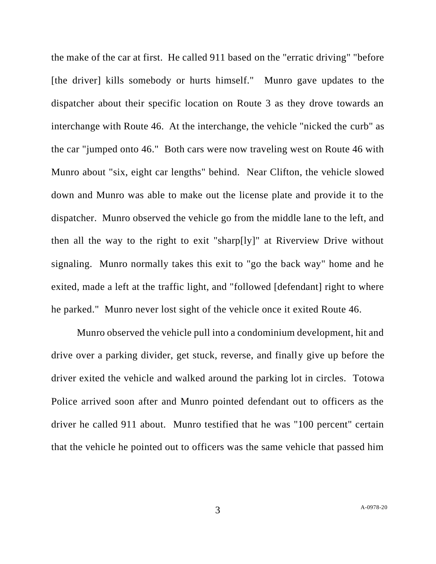the make of the car at first. He called 911 based on the "erratic driving" "before [the driver] kills somebody or hurts himself." Munro gave updates to the dispatcher about their specific location on Route 3 as they drove towards an interchange with Route 46. At the interchange, the vehicle "nicked the curb" as the car "jumped onto 46." Both cars were now traveling west on Route 46 with Munro about "six, eight car lengths" behind. Near Clifton, the vehicle slowed down and Munro was able to make out the license plate and provide it to the dispatcher. Munro observed the vehicle go from the middle lane to the left, and then all the way to the right to exit "sharp[ly]" at Riverview Drive without signaling. Munro normally takes this exit to "go the back way" home and he exited, made a left at the traffic light, and "followed [defendant] right to where he parked." Munro never lost sight of the vehicle once it exited Route 46.

Munro observed the vehicle pull into a condominium development, hit and drive over a parking divider, get stuck, reverse, and finally give up before the driver exited the vehicle and walked around the parking lot in circles. Totowa Police arrived soon after and Munro pointed defendant out to officers as the driver he called 911 about. Munro testified that he was "100 percent" certain that the vehicle he pointed out to officers was the same vehicle that passed him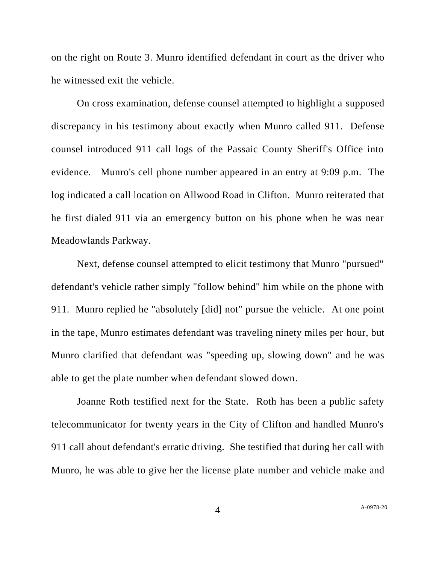on the right on Route 3. Munro identified defendant in court as the driver who he witnessed exit the vehicle.

On cross examination, defense counsel attempted to highlight a supposed discrepancy in his testimony about exactly when Munro called 911. Defense counsel introduced 911 call logs of the Passaic County Sheriff's Office into evidence. Munro's cell phone number appeared in an entry at 9:09 p.m. The log indicated a call location on Allwood Road in Clifton. Munro reiterated that he first dialed 911 via an emergency button on his phone when he was near Meadowlands Parkway.

Next, defense counsel attempted to elicit testimony that Munro "pursued" defendant's vehicle rather simply "follow behind" him while on the phone with 911. Munro replied he "absolutely [did] not" pursue the vehicle. At one point in the tape, Munro estimates defendant was traveling ninety miles per hour, but Munro clarified that defendant was "speeding up, slowing down" and he was able to get the plate number when defendant slowed down.

Joanne Roth testified next for the State. Roth has been a public safety telecommunicator for twenty years in the City of Clifton and handled Munro's 911 call about defendant's erratic driving. She testified that during her call with Munro, he was able to give her the license plate number and vehicle make and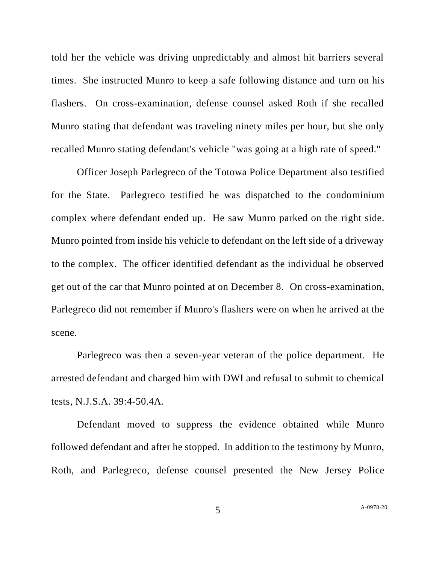told her the vehicle was driving unpredictably and almost hit barriers several times. She instructed Munro to keep a safe following distance and turn on his flashers. On cross-examination, defense counsel asked Roth if she recalled Munro stating that defendant was traveling ninety miles per hour, but she only recalled Munro stating defendant's vehicle "was going at a high rate of speed."

Officer Joseph Parlegreco of the Totowa Police Department also testified for the State. Parlegreco testified he was dispatched to the condominium complex where defendant ended up. He saw Munro parked on the right side. Munro pointed from inside his vehicle to defendant on the left side of a driveway to the complex. The officer identified defendant as the individual he observed get out of the car that Munro pointed at on December 8. On cross-examination, Parlegreco did not remember if Munro's flashers were on when he arrived at the scene.

Parlegreco was then a seven-year veteran of the police department. He arrested defendant and charged him with DWI and refusal to submit to chemical tests, N.J.S.A. 39:4-50.4A.

Defendant moved to suppress the evidence obtained while Munro followed defendant and after he stopped. In addition to the testimony by Munro, Roth, and Parlegreco, defense counsel presented the New Jersey Police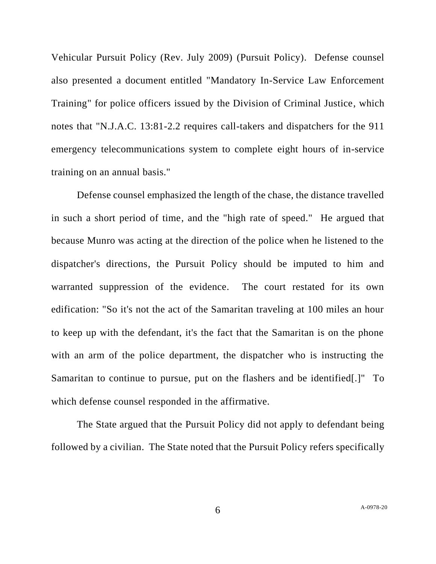Vehicular Pursuit Policy (Rev. July 2009) (Pursuit Policy). Defense counsel also presented a document entitled "Mandatory In-Service Law Enforcement Training" for police officers issued by the Division of Criminal Justice, which notes that "N.J.A.C. 13:81-2.2 requires call-takers and dispatchers for the 911 emergency telecommunications system to complete eight hours of in-service training on an annual basis."

Defense counsel emphasized the length of the chase, the distance travelled in such a short period of time, and the "high rate of speed." He argued that because Munro was acting at the direction of the police when he listened to the dispatcher's directions, the Pursuit Policy should be imputed to him and warranted suppression of the evidence. The court restated for its own edification: "So it's not the act of the Samaritan traveling at 100 miles an hour to keep up with the defendant, it's the fact that the Samaritan is on the phone with an arm of the police department, the dispatcher who is instructing the Samaritan to continue to pursue, put on the flashers and be identified[.]" To which defense counsel responded in the affirmative.

The State argued that the Pursuit Policy did not apply to defendant being followed by a civilian. The State noted that the Pursuit Policy refers specifically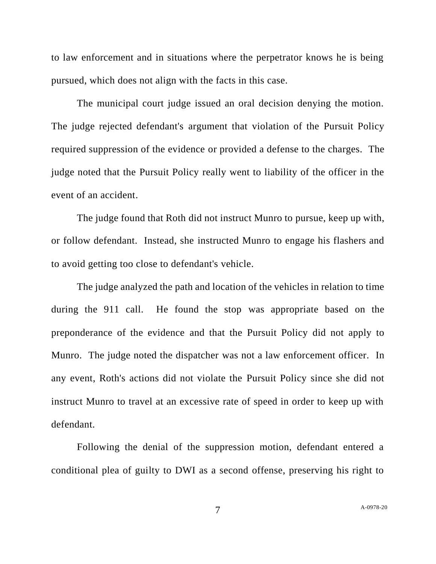to law enforcement and in situations where the perpetrator knows he is being pursued, which does not align with the facts in this case.

The municipal court judge issued an oral decision denying the motion. The judge rejected defendant's argument that violation of the Pursuit Policy required suppression of the evidence or provided a defense to the charges. The judge noted that the Pursuit Policy really went to liability of the officer in the event of an accident.

The judge found that Roth did not instruct Munro to pursue, keep up with, or follow defendant. Instead, she instructed Munro to engage his flashers and to avoid getting too close to defendant's vehicle.

The judge analyzed the path and location of the vehicles in relation to time during the 911 call. He found the stop was appropriate based on the preponderance of the evidence and that the Pursuit Policy did not apply to Munro. The judge noted the dispatcher was not a law enforcement officer. In any event, Roth's actions did not violate the Pursuit Policy since she did not instruct Munro to travel at an excessive rate of speed in order to keep up with defendant.

Following the denial of the suppression motion, defendant entered a conditional plea of guilty to DWI as a second offense, preserving his right to

7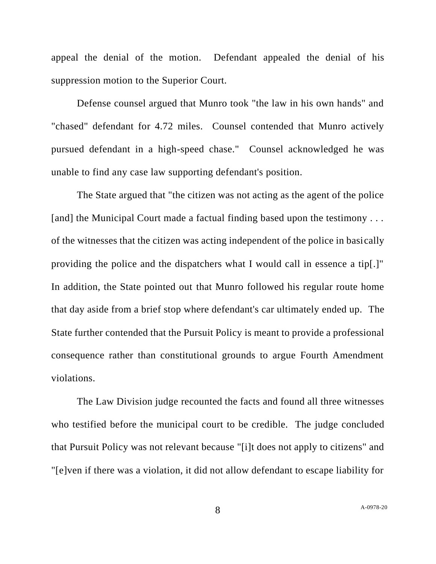appeal the denial of the motion. Defendant appealed the denial of his suppression motion to the Superior Court.

Defense counsel argued that Munro took "the law in his own hands" and "chased" defendant for 4.72 miles. Counsel contended that Munro actively pursued defendant in a high-speed chase." Counsel acknowledged he was unable to find any case law supporting defendant's position.

The State argued that "the citizen was not acting as the agent of the police [and] the Municipal Court made a factual finding based upon the testimony ... of the witnesses that the citizen was acting independent of the police in basically providing the police and the dispatchers what I would call in essence a tip[.]" In addition, the State pointed out that Munro followed his regular route home that day aside from a brief stop where defendant's car ultimately ended up. The State further contended that the Pursuit Policy is meant to provide a professional consequence rather than constitutional grounds to argue Fourth Amendment violations.

The Law Division judge recounted the facts and found all three witnesses who testified before the municipal court to be credible. The judge concluded that Pursuit Policy was not relevant because "[i]t does not apply to citizens" and "[e]ven if there was a violation, it did not allow defendant to escape liability for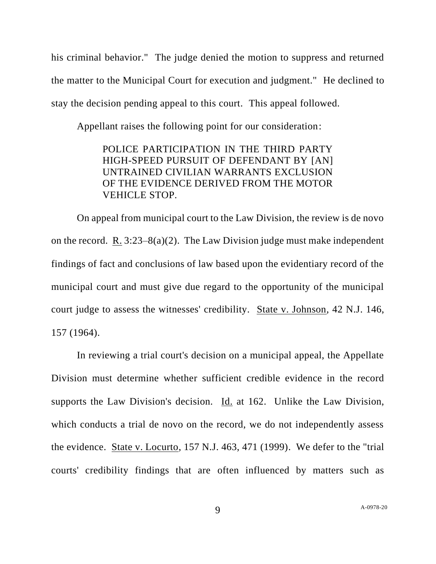his criminal behavior." The judge denied the motion to suppress and returned the matter to the Municipal Court for execution and judgment." He declined to stay the decision pending appeal to this court. This appeal followed.

Appellant raises the following point for our consideration:

POLICE PARTICIPATION IN THE THIRD PARTY HIGH-SPEED PURSUIT OF DEFENDANT BY [AN] UNTRAINED CIVILIAN WARRANTS EXCLUSION OF THE EVIDENCE DERIVED FROM THE MOTOR VEHICLE STOP.

On appeal from municipal court to the Law Division, the review is de novo on the record. R.  $3:23-8(a)(2)$ . The Law Division judge must make independent findings of fact and conclusions of law based upon the evidentiary record of the municipal court and must give due regard to the opportunity of the municipal court judge to assess the witnesses' credibility. State v. Johnson, 42 N.J. 146, 157 (1964).

In reviewing a trial court's decision on a municipal appeal, the Appellate Division must determine whether sufficient credible evidence in the record supports the Law Division's decision. Id. at 162. Unlike the Law Division, which conducts a trial de novo on the record, we do not independently assess the evidence. State v. Locurto, 157 N.J. 463, 471 (1999). We defer to the "trial courts' credibility findings that are often influenced by matters such as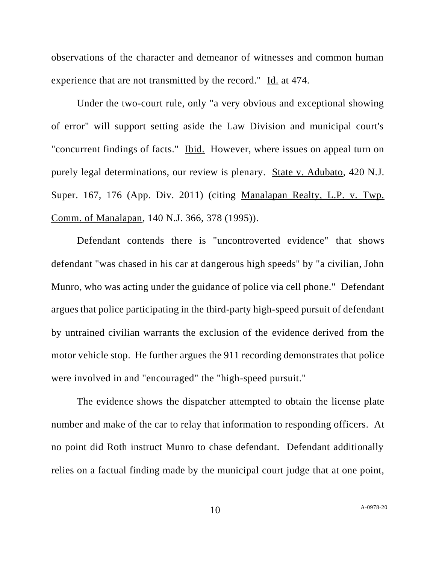observations of the character and demeanor of witnesses and common human experience that are not transmitted by the record." Id. at 474.

Under the two-court rule, only "a very obvious and exceptional showing of error" will support setting aside the Law Division and municipal court's "concurrent findings of facts." Ibid. However, where issues on appeal turn on purely legal determinations, our review is plenary. State v. Adubato, 420 N.J. Super. 167, 176 (App. Div. 2011) (citing Manalapan Realty, L.P. v. Twp. Comm. of Manalapan, 140 N.J. 366, 378 (1995)).

Defendant contends there is "uncontroverted evidence" that shows defendant "was chased in his car at dangerous high speeds" by "a civilian, John Munro, who was acting under the guidance of police via cell phone." Defendant argues that police participating in the third-party high-speed pursuit of defendant by untrained civilian warrants the exclusion of the evidence derived from the motor vehicle stop. He further argues the 911 recording demonstrates that police were involved in and "encouraged" the "high-speed pursuit."

The evidence shows the dispatcher attempted to obtain the license plate number and make of the car to relay that information to responding officers. At no point did Roth instruct Munro to chase defendant. Defendant additionally relies on a factual finding made by the municipal court judge that at one point,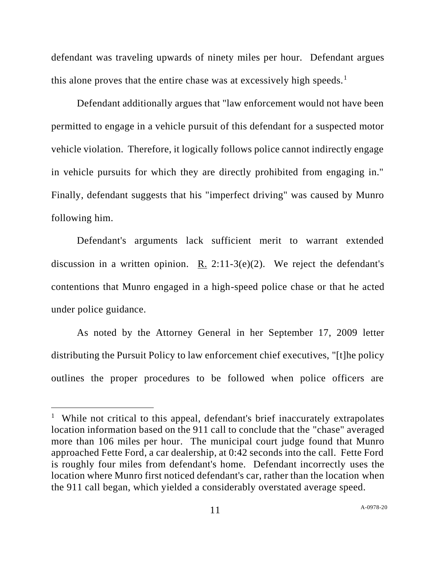defendant was traveling upwards of ninety miles per hour. Defendant argues this alone proves that the entire chase was at excessively high speeds.<sup>1</sup>

Defendant additionally argues that "law enforcement would not have been permitted to engage in a vehicle pursuit of this defendant for a suspected motor vehicle violation. Therefore, it logically follows police cannot indirectly engage in vehicle pursuits for which they are directly prohibited from engaging in." Finally, defendant suggests that his "imperfect driving" was caused by Munro following him.

Defendant's arguments lack sufficient merit to warrant extended discussion in a written opinion. R.  $2:11-3(e)(2)$ . We reject the defendant's contentions that Munro engaged in a high-speed police chase or that he acted under police guidance.

As noted by the Attorney General in her September 17, 2009 letter distributing the Pursuit Policy to law enforcement chief executives, "[t]he policy outlines the proper procedures to be followed when police officers are

<sup>&</sup>lt;sup>1</sup> While not critical to this appeal, defendant's brief inaccurately extrapolates location information based on the 911 call to conclude that the "chase" averaged more than 106 miles per hour. The municipal court judge found that Munro approached Fette Ford, a car dealership, at 0:42 seconds into the call. Fette Ford is roughly four miles from defendant's home. Defendant incorrectly uses the location where Munro first noticed defendant's car, rather than the location when the 911 call began, which yielded a considerably overstated average speed.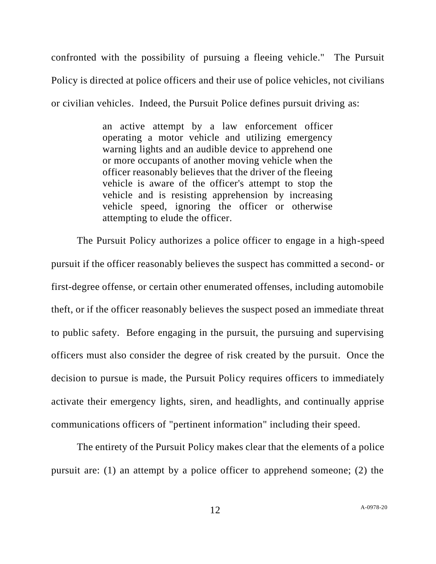confronted with the possibility of pursuing a fleeing vehicle." The Pursuit Policy is directed at police officers and their use of police vehicles, not civilians or civilian vehicles. Indeed, the Pursuit Police defines pursuit driving as:

> an active attempt by a law enforcement officer operating a motor vehicle and utilizing emergency warning lights and an audible device to apprehend one or more occupants of another moving vehicle when the officer reasonably believes that the driver of the fleeing vehicle is aware of the officer's attempt to stop the vehicle and is resisting apprehension by increasing vehicle speed, ignoring the officer or otherwise attempting to elude the officer.

The Pursuit Policy authorizes a police officer to engage in a high-speed pursuit if the officer reasonably believes the suspect has committed a second- or first-degree offense, or certain other enumerated offenses, including automobile theft, or if the officer reasonably believes the suspect posed an immediate threat to public safety. Before engaging in the pursuit, the pursuing and supervising officers must also consider the degree of risk created by the pursuit. Once the decision to pursue is made, the Pursuit Policy requires officers to immediately activate their emergency lights, siren, and headlights, and continually apprise communications officers of "pertinent information" including their speed.

The entirety of the Pursuit Policy makes clear that the elements of a police pursuit are: (1) an attempt by a police officer to apprehend someone; (2) the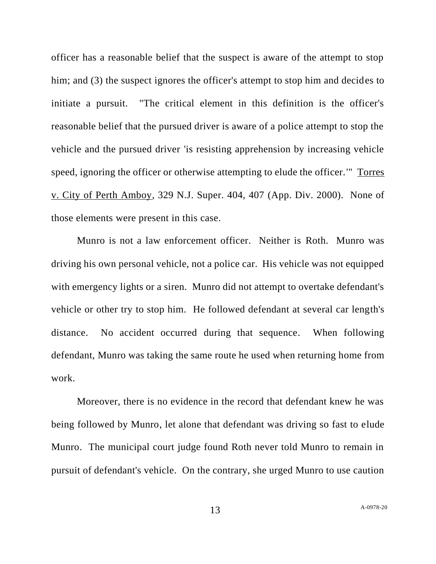officer has a reasonable belief that the suspect is aware of the attempt to stop him; and (3) the suspect ignores the officer's attempt to stop him and decides to initiate a pursuit. "The critical element in this definition is the officer's reasonable belief that the pursued driver is aware of a police attempt to stop the vehicle and the pursued driver 'is resisting apprehension by increasing vehicle speed, ignoring the officer or otherwise attempting to elude the officer.'" Torres v. City of Perth Amboy, 329 N.J. Super. 404, 407 (App. Div. 2000). None of those elements were present in this case.

Munro is not a law enforcement officer. Neither is Roth. Munro was driving his own personal vehicle, not a police car. His vehicle was not equipped with emergency lights or a siren. Munro did not attempt to overtake defendant's vehicle or other try to stop him. He followed defendant at several car length's distance. No accident occurred during that sequence. When following defendant, Munro was taking the same route he used when returning home from work.

Moreover, there is no evidence in the record that defendant knew he was being followed by Munro, let alone that defendant was driving so fast to elude Munro. The municipal court judge found Roth never told Munro to remain in pursuit of defendant's vehicle. On the contrary, she urged Munro to use caution